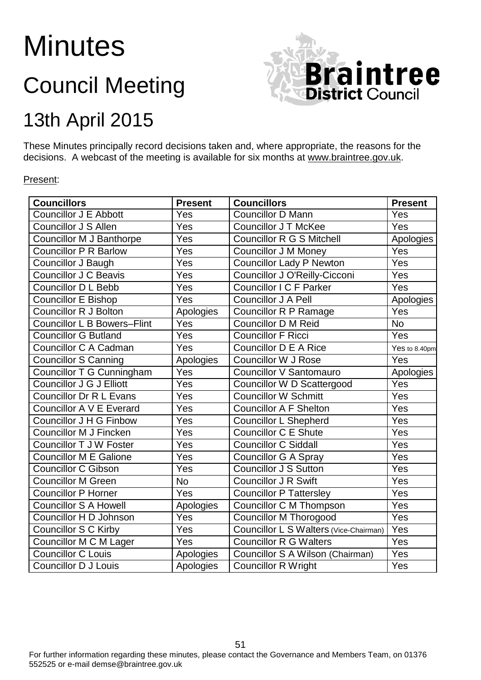# **Minutes**

## Council Meeting



### 13th April 2015

These Minutes principally record decisions taken and, where appropriate, the reasons for the decisions. A webcast of the meeting is available for six months at [www.braintree.gov.uk.](http://www.braintree.gov.uk/)

#### Present:

| <b>Councillors</b>                 | <b>Present</b>   | <b>Councillors</b>                     | <b>Present</b>    |
|------------------------------------|------------------|----------------------------------------|-------------------|
| Councillor J E Abbott              | Yes              | Councillor D Mann                      | Yes               |
| <b>Councillor J S Allen</b>        | Yes              | <b>Councillor J T McKee</b>            | Yes               |
| <b>Councillor M J Banthorpe</b>    | Yes              | <b>Councillor R G S Mitchell</b>       | Apologies         |
| <b>Councillor P R Barlow</b>       | Yes              | <b>Councillor J M Money</b>            | Yes               |
| Councillor J Baugh                 | Yes              | <b>Councillor Lady P Newton</b>        | Yes               |
| <b>Councillor J C Beavis</b>       | Yes              | Councillor J O'Reilly-Cicconi          | Yes               |
| Councillor D L Bebb                | Yes              | Councillor I C F Parker                | Yes               |
| <b>Councillor E Bishop</b>         | Yes              | <b>Councillor J A Pell</b>             | Apologies         |
| <b>Councillor R J Bolton</b>       | Apologies        | <b>Councillor R P Ramage</b>           | Yes               |
| <b>Councillor L B Bowers-Flint</b> | Yes              | <b>Councillor D M Reid</b>             | $\overline{No}$   |
| <b>Councillor G Butland</b>        | $\overline{Yes}$ | <b>Councillor F Ricci</b>              | Yes               |
| Councillor C A Cadman              | Yes              | <b>Councillor D E A Rice</b>           | Yes to 8.40pm     |
| <b>Councillor S Canning</b>        | Apologies        | <b>Councillor W J Rose</b>             | Yes               |
| Councillor T G Cunningham          | Yes              | Councillor V Santomauro                | Apologies         |
| <b>Councillor J G J Elliott</b>    | Yes              | Councillor W D Scattergood             | Yes               |
| <b>Councillor Dr R L Evans</b>     | Yes              | <b>Councillor W Schmitt</b>            | Yes               |
| Councillor A V E Everard           | Yes              | <b>Councillor A F Shelton</b>          | Yes               |
| Councillor J H G Finbow            | Yes              | <b>Councillor L Shepherd</b>           | Yes               |
| <b>Councillor M J Fincken</b>      | Yes              | <b>Councillor C E Shute</b>            | $\overline{Y}$ es |
| <b>Councillor T J W Foster</b>     | Yes              | <b>Councillor C Siddall</b>            | <b>Yes</b>        |
| Councillor M E Galione             | Yes              | <b>Councillor G A Spray</b>            | Yes               |
| <b>Councillor C Gibson</b>         | Yes              | <b>Councillor J S Sutton</b>           | Yes               |
| Councillor M Green                 | <b>No</b>        | <b>Councillor J R Swift</b>            | Yes               |
| <b>Councillor P Horner</b>         | Yes              | <b>Councillor P Tattersley</b>         | Yes               |
| <b>Councillor S A Howell</b>       | Apologies        | Councillor C M Thompson                | Yes               |
| Councillor H D Johnson             | Yes              | <b>Councillor M Thorogood</b>          | Yes               |
| <b>Councillor S C Kirby</b>        | Yes              | Councillor L S Walters (Vice-Chairman) | Yes               |
| Councillor M C M Lager             | Yes              | <b>Councillor R G Walters</b>          | Yes               |
| <b>Councillor C Louis</b>          | Apologies        | Councillor S A Wilson (Chairman)       | Yes               |
| <b>Councillor D J Louis</b>        | Apologies        | <b>Councillor R Wright</b>             | Yes               |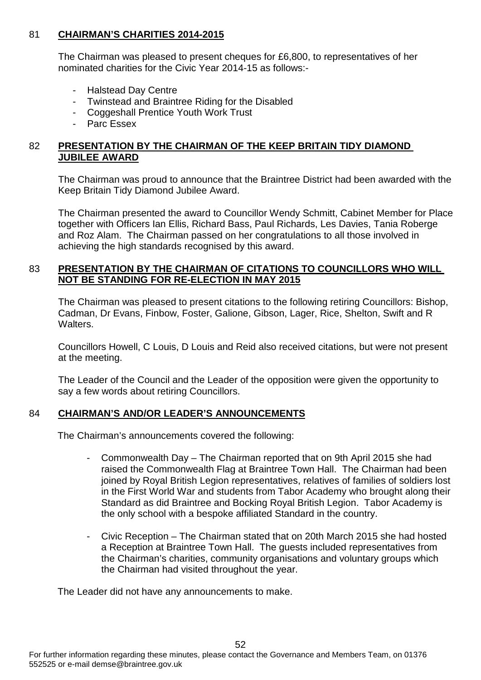#### 81 **CHAIRMAN'S CHARITIES 2014-2015**

The Chairman was pleased to present cheques for £6,800, to representatives of her nominated charities for the Civic Year 2014-15 as follows:-

- **Halstead Day Centre**
- Twinstead and Braintree Riding for the Disabled<br>- Coggeshall Prentice Youth Work Trust
- Coggeshall Prentice Youth Work Trust
- Parc Essex

#### 82 **PRESENTATION BY THE CHAIRMAN OF THE KEEP BRITAIN TIDY DIAMOND JUBILEE AWARD**

The Chairman was proud to announce that the Braintree District had been awarded with the Keep Britain Tidy Diamond Jubilee Award.

The Chairman presented the award to Councillor Wendy Schmitt, Cabinet Member for Place together with Officers Ian Ellis, Richard Bass, Paul Richards, Les Davies, Tania Roberge and Roz Alam. The Chairman passed on her congratulations to all those involved in achieving the high standards recognised by this award.

#### 83 **PRESENTATION BY THE CHAIRMAN OF CITATIONS TO COUNCILLORS WHO WILL NOT BE STANDING FOR RE-ELECTION IN MAY 2015**

The Chairman was pleased to present citations to the following retiring Councillors: Bishop, Cadman, Dr Evans, Finbow, Foster, Galione, Gibson, Lager, Rice, Shelton, Swift and R **Walters** 

Councillors Howell, C Louis, D Louis and Reid also received citations, but were not present at the meeting.

The Leader of the Council and the Leader of the opposition were given the opportunity to say a few words about retiring Councillors.

#### 84 **CHAIRMAN'S AND/OR LEADER'S ANNOUNCEMENTS**

The Chairman's announcements covered the following:

- Commonwealth Day The Chairman reported that on 9th April 2015 she had raised the Commonwealth Flag at Braintree Town Hall. The Chairman had been joined by Royal British Legion representatives, relatives of families of soldiers lost in the First World War and students from Tabor Academy who brought along their Standard as did Braintree and Bocking Royal British Legion. Tabor Academy is the only school with a bespoke affiliated Standard in the country.
- Civic Reception The Chairman stated that on 20th March 2015 she had hosted a Reception at Braintree Town Hall. The guests included representatives from the Chairman's charities, community organisations and voluntary groups which the Chairman had visited throughout the year.

The Leader did not have any announcements to make.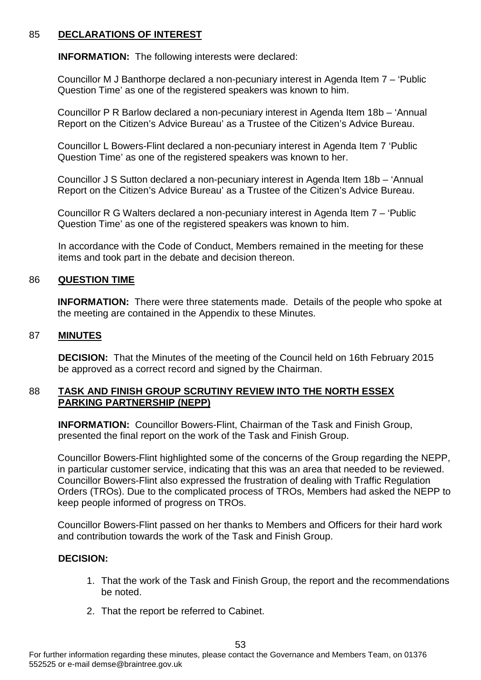#### 85 **DECLARATIONS OF INTEREST**

**INFORMATION:** The following interests were declared:

Councillor M J Banthorpe declared a non-pecuniary interest in Agenda Item 7 – 'Public Question Time' as one of the registered speakers was known to him.

Councillor P R Barlow declared a non-pecuniary interest in Agenda Item 18b – 'Annual Report on the Citizen's Advice Bureau' as a Trustee of the Citizen's Advice Bureau.

Councillor L Bowers-Flint declared a non-pecuniary interest in Agenda Item 7 'Public Question Time' as one of the registered speakers was known to her.

Councillor J S Sutton declared a non-pecuniary interest in Agenda Item 18b – 'Annual Report on the Citizen's Advice Bureau' as a Trustee of the Citizen's Advice Bureau.

Councillor R G Walters declared a non-pecuniary interest in Agenda Item 7 – 'Public Question Time' as one of the registered speakers was known to him.

In accordance with the Code of Conduct, Members remained in the meeting for these items and took part in the debate and decision thereon.

#### 86 **QUESTION TIME**

**INFORMATION:** There were three statements made. Details of the people who spoke at the meeting are contained in the Appendix to these Minutes.

#### 87 **MINUTES**

**DECISION:** That the Minutes of the meeting of the Council held on 16th February 2015 be approved as a correct record and signed by the Chairman.

#### 88 **TASK AND FINISH GROUP SCRUTINY REVIEW INTO THE NORTH ESSEX PARKING PARTNERSHIP (NEPP)**

**INFORMATION:** Councillor Bowers-Flint, Chairman of the Task and Finish Group, presented the final report on the work of the Task and Finish Group.

Councillor Bowers-Flint highlighted some of the concerns of the Group regarding the NEPP, in particular customer service, indicating that this was an area that needed to be reviewed. Councillor Bowers-Flint also expressed the frustration of dealing with Traffic Regulation Orders (TROs). Due to the complicated process of TROs, Members had asked the NEPP to keep people informed of progress on TROs.

Councillor Bowers-Flint passed on her thanks to Members and Officers for their hard work and contribution towards the work of the Task and Finish Group.

#### **DECISION:**

- 1. That the work of the Task and Finish Group, the report and the recommendations be noted.
- 2. That the report be referred to Cabinet.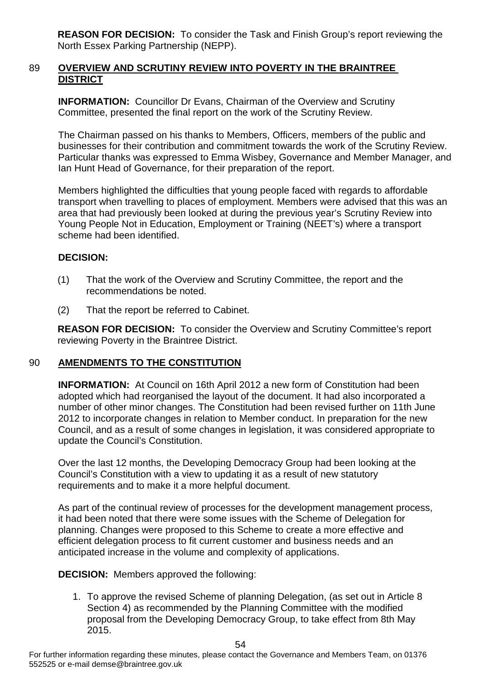**REASON FOR DECISION:** To consider the Task and Finish Group's report reviewing the North Essex Parking Partnership (NEPP).

#### 89 **OVERVIEW AND SCRUTINY REVIEW INTO POVERTY IN THE BRAINTREE DISTRICT**

**INFORMATION:** Councillor Dr Evans, Chairman of the Overview and Scrutiny Committee, presented the final report on the work of the Scrutiny Review.

The Chairman passed on his thanks to Members, Officers, members of the public and businesses for their contribution and commitment towards the work of the Scrutiny Review. Particular thanks was expressed to Emma Wisbey, Governance and Member Manager, and Ian Hunt Head of Governance, for their preparation of the report.

Members highlighted the difficulties that young people faced with regards to affordable transport when travelling to places of employment. Members were advised that this was an area that had previously been looked at during the previous year's Scrutiny Review into Young People Not in Education, Employment or Training (NEET's) where a transport scheme had been identified.

#### **DECISION:**

- (1) That the work of the Overview and Scrutiny Committee, the report and the recommendations be noted.
- (2) That the report be referred to Cabinet.

**REASON FOR DECISION:** To consider the Overview and Scrutiny Committee's report reviewing Poverty in the Braintree District.

#### 90 **AMENDMENTS TO THE CONSTITUTION**

**INFORMATION:** At Council on 16th April 2012 a new form of Constitution had been adopted which had reorganised the layout of the document. It had also incorporated a number of other minor changes. The Constitution had been revised further on 11th June 2012 to incorporate changes in relation to Member conduct. In preparation for the new Council, and as a result of some changes in legislation, it was considered appropriate to update the Council's Constitution.

Over the last 12 months, the Developing Democracy Group had been looking at the Council's Constitution with a view to updating it as a result of new statutory requirements and to make it a more helpful document.

As part of the continual review of processes for the development management process, it had been noted that there were some issues with the Scheme of Delegation for planning. Changes were proposed to this Scheme to create a more effective and efficient delegation process to fit current customer and business needs and an anticipated increase in the volume and complexity of applications.

**DECISION:** Members approved the following:

1. To approve the revised Scheme of planning Delegation, (as set out in Article 8 Section 4) as recommended by the Planning Committee with the modified proposal from the Developing Democracy Group, to take effect from 8th May 2015.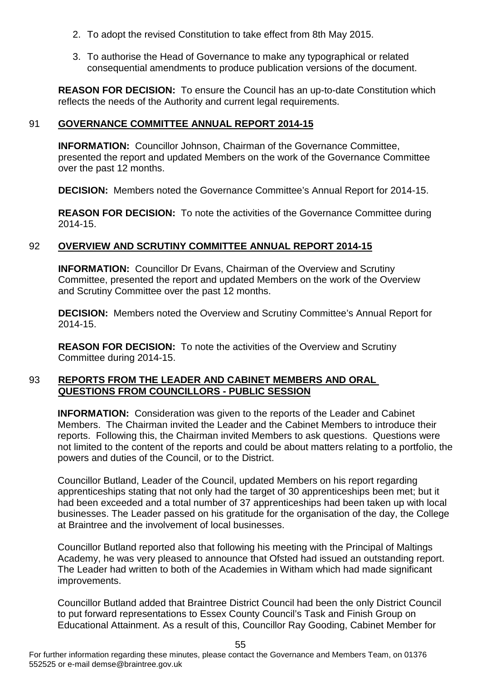- 2. To adopt the revised Constitution to take effect from 8th May 2015.
- 3. To authorise the Head of Governance to make any typographical or related consequential amendments to produce publication versions of the document.

**REASON FOR DECISION:** To ensure the Council has an up-to-date Constitution which reflects the needs of the Authority and current legal requirements.

#### 91 **GOVERNANCE COMMITTEE ANNUAL REPORT 2014-15**

**INFORMATION:** Councillor Johnson, Chairman of the Governance Committee, presented the report and updated Members on the work of the Governance Committee over the past 12 months.

**DECISION:** Members noted the Governance Committee's Annual Report for 2014-15.

**REASON FOR DECISION:** To note the activities of the Governance Committee during 2014-15.

#### 92 **OVERVIEW AND SCRUTINY COMMITTEE ANNUAL REPORT 2014-15**

**INFORMATION:** Councillor Dr Evans, Chairman of the Overview and Scrutiny Committee, presented the report and updated Members on the work of the Overview and Scrutiny Committee over the past 12 months.

**DECISION:** Members noted the Overview and Scrutiny Committee's Annual Report for 2014-15.

**REASON FOR DECISION:** To note the activities of the Overview and Scrutiny Committee during 2014-15.

#### 93 **REPORTS FROM THE LEADER AND CABINET MEMBERS AND ORAL QUESTIONS FROM COUNCILLORS - PUBLIC SESSION**

**INFORMATION:** Consideration was given to the reports of the Leader and Cabinet Members. The Chairman invited the Leader and the Cabinet Members to introduce their reports. Following this, the Chairman invited Members to ask questions. Questions were not limited to the content of the reports and could be about matters relating to a portfolio, the powers and duties of the Council, or to the District.

Councillor Butland, Leader of the Council, updated Members on his report regarding apprenticeships stating that not only had the target of 30 apprenticeships been met; but it had been exceeded and a total number of 37 apprenticeships had been taken up with local businesses. The Leader passed on his gratitude for the organisation of the day, the College at Braintree and the involvement of local businesses.

Councillor Butland reported also that following his meeting with the Principal of Maltings Academy, he was very pleased to announce that Ofsted had issued an outstanding report. The Leader had written to both of the Academies in Witham which had made significant improvements.

Councillor Butland added that Braintree District Council had been the only District Council to put forward representations to Essex County Council's Task and Finish Group on Educational Attainment. As a result of this, Councillor Ray Gooding, Cabinet Member for

For further information regarding these minutes, please contact the Governance and Members Team, on 01376 552525 or e-mail demse@braintree.gov.uk

55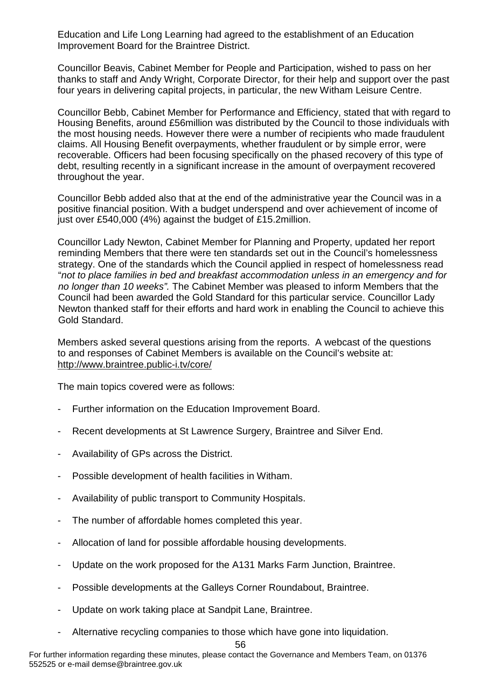Education and Life Long Learning had agreed to the establishment of an Education Improvement Board for the Braintree District.

Councillor Beavis, Cabinet Member for People and Participation, wished to pass on her thanks to staff and Andy Wright, Corporate Director, for their help and support over the past four years in delivering capital projects, in particular, the new Witham Leisure Centre.

Councillor Bebb, Cabinet Member for Performance and Efficiency, stated that with regard to Housing Benefits, around £56million was distributed by the Council to those individuals with the most housing needs. However there were a number of recipients who made fraudulent claims. All Housing Benefit overpayments, whether fraudulent or by simple error, were recoverable. Officers had been focusing specifically on the phased recovery of this type of debt, resulting recently in a significant increase in the amount of overpayment recovered throughout the year.

Councillor Bebb added also that at the end of the administrative year the Council was in a positive financial position. With a budget underspend and over achievement of income of just over £540,000 (4%) against the budget of £15.2million.

Councillor Lady Newton, Cabinet Member for Planning and Property, updated her report reminding Members that there were ten standards set out in the Council's homelessness strategy. One of the standards which the Council applied in respect of homelessness read "*not to place families in bed and breakfast accommodation unless in an emergency and for no longer than 10 weeks".* The Cabinet Member was pleased to inform Members that the Council had been awarded the Gold Standard for this particular service. Councillor Lady Newton thanked staff for their efforts and hard work in enabling the Council to achieve this Gold Standard.

Members asked several questions arising from the reports. A webcast of the questions to and responses of Cabinet Members is available on the Council's website at: <http://www.braintree.public-i.tv/core/>

The main topics covered were as follows:

- Further information on the Education Improvement Board.
- Recent developments at St Lawrence Surgery, Braintree and Silver End.
- Availability of GPs across the District.
- Possible development of health facilities in Witham.
- Availability of public transport to Community Hospitals.
- The number of affordable homes completed this year.
- Allocation of land for possible affordable housing developments.
- Update on the work proposed for the A131 Marks Farm Junction, Braintree.
- Possible developments at the Galleys Corner Roundabout, Braintree.
- Update on work taking place at Sandpit Lane, Braintree.
- Alternative recycling companies to those which have gone into liquidation.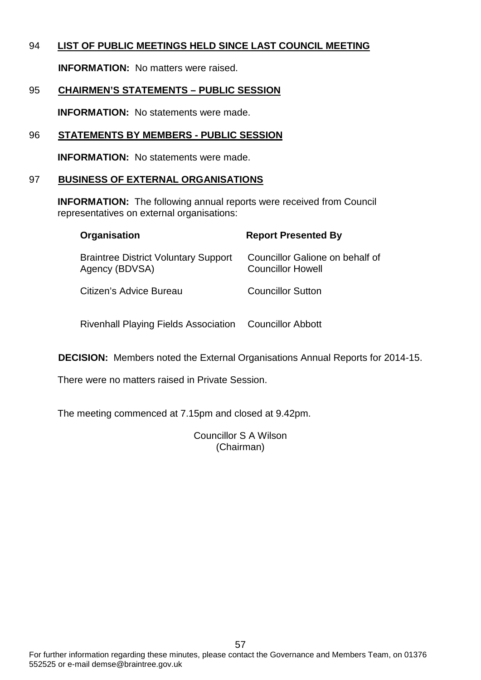#### 94 **LIST OF PUBLIC MEETINGS HELD SINCE LAST COUNCIL MEETING**

**INFORMATION:** No matters were raised.

#### 95 **CHAIRMEN'S STATEMENTS – PUBLIC SESSION**

**INFORMATION:** No statements were made.

#### 96 **STATEMENTS BY MEMBERS - PUBLIC SESSION**

**INFORMATION:** No statements were made.

#### 97 **BUSINESS OF EXTERNAL ORGANISATIONS**

**INFORMATION:** The following annual reports were received from Council representatives on external organisations:

| Organisation                                                  | <b>Report Presented By</b>                           |
|---------------------------------------------------------------|------------------------------------------------------|
| <b>Braintree District Voluntary Support</b><br>Agency (BDVSA) | Councillor Galione on behalf of<br>Councillor Howell |
| Citizen's Advice Bureau                                       | <b>Councillor Sutton</b>                             |
| <b>Rivenhall Playing Fields Association</b>                   | Councillor Abbott                                    |

**DECISION:** Members noted the External Organisations Annual Reports for 2014-15.

There were no matters raised in Private Session.

The meeting commenced at 7.15pm and closed at 9.42pm.

Councillor S A Wilson (Chairman)